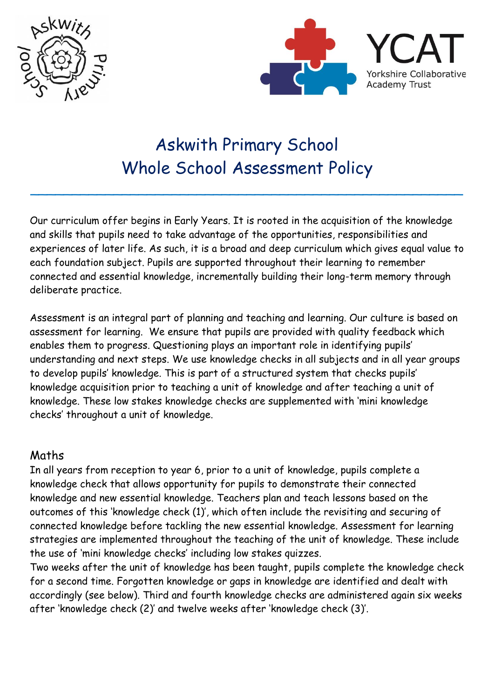



# Askwith Primary School Whole School Assessment Policy

 $\overline{\phantom{a}}$  , and the contract of the contract of the contract of the contract of the contract of the contract of the contract of the contract of the contract of the contract of the contract of the contract of the contrac

Our curriculum offer begins in Early Years. It is rooted in the acquisition of the knowledge and skills that pupils need to take advantage of the opportunities, responsibilities and experiences of later life. As such, it is a broad and deep curriculum which gives equal value to each foundation subject. Pupils are supported throughout their learning to remember connected and essential knowledge, incrementally building their long-term memory through deliberate practice.

Assessment is an integral part of planning and teaching and learning. Our culture is based on assessment for learning. We ensure that pupils are provided with quality feedback which enables them to progress. Questioning plays an important role in identifying pupils' understanding and next steps. We use knowledge checks in all subjects and in all year groups to develop pupils' knowledge. This is part of a structured system that checks pupils' knowledge acquisition prior to teaching a unit of knowledge and after teaching a unit of knowledge. These low stakes knowledge checks are supplemented with 'mini knowledge checks' throughout a unit of knowledge.

# Maths

In all years from reception to year 6, prior to a unit of knowledge, pupils complete a knowledge check that allows opportunity for pupils to demonstrate their connected knowledge and new essential knowledge. Teachers plan and teach lessons based on the outcomes of this 'knowledge check (1)', which often include the revisiting and securing of connected knowledge before tackling the new essential knowledge. Assessment for learning strategies are implemented throughout the teaching of the unit of knowledge. These include the use of 'mini knowledge checks' including low stakes quizzes.

Two weeks after the unit of knowledge has been taught, pupils complete the knowledge check for a second time. Forgotten knowledge or gaps in knowledge are identified and dealt with accordingly (see below). Third and fourth knowledge checks are administered again six weeks after 'knowledge check (2)' and twelve weeks after 'knowledge check (3)'.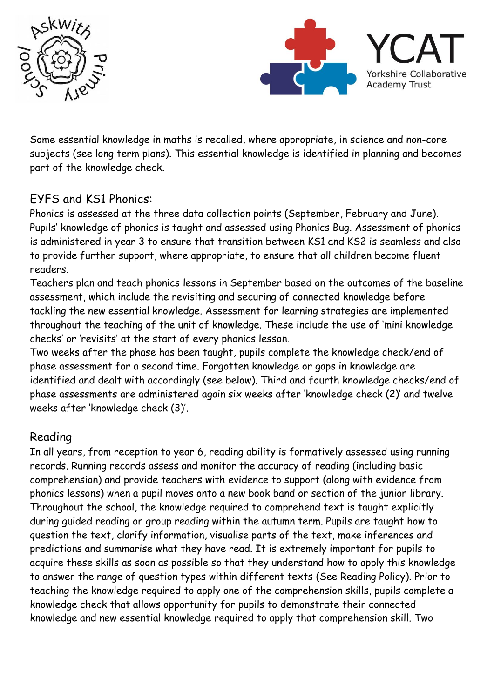



Some essential knowledge in maths is recalled, where appropriate, in science and non-core subjects (see long term plans). This essential knowledge is identified in planning and becomes part of the knowledge check.

# EYFS and KS1 Phonics:

Phonics is assessed at the three data collection points (September, February and June). Pupils' knowledge of phonics is taught and assessed using Phonics Bug. Assessment of phonics is administered in year 3 to ensure that transition between KS1 and KS2 is seamless and also to provide further support, where appropriate, to ensure that all children become fluent readers.

Teachers plan and teach phonics lessons in September based on the outcomes of the baseline assessment, which include the revisiting and securing of connected knowledge before tackling the new essential knowledge. Assessment for learning strategies are implemented throughout the teaching of the unit of knowledge. These include the use of 'mini knowledge checks' or 'revisits' at the start of every phonics lesson.

Two weeks after the phase has been taught, pupils complete the knowledge check/end of phase assessment for a second time. Forgotten knowledge or gaps in knowledge are identified and dealt with accordingly (see below). Third and fourth knowledge checks/end of phase assessments are administered again six weeks after 'knowledge check (2)' and twelve weeks after 'knowledge check (3)'.

# Reading

In all years, from reception to year 6, reading ability is formatively assessed using running records. Running records assess and monitor the accuracy of reading (including basic comprehension) and provide teachers with evidence to support (along with evidence from phonics lessons) when a pupil moves onto a new book band or section of the junior library. Throughout the school, the knowledge required to comprehend text is taught explicitly during guided reading or group reading within the autumn term. Pupils are taught how to question the text, clarify information, visualise parts of the text, make inferences and predictions and summarise what they have read. It is extremely important for pupils to acquire these skills as soon as possible so that they understand how to apply this knowledge to answer the range of question types within different texts (See Reading Policy). Prior to teaching the knowledge required to apply one of the comprehension skills, pupils complete a knowledge check that allows opportunity for pupils to demonstrate their connected knowledge and new essential knowledge required to apply that comprehension skill. Two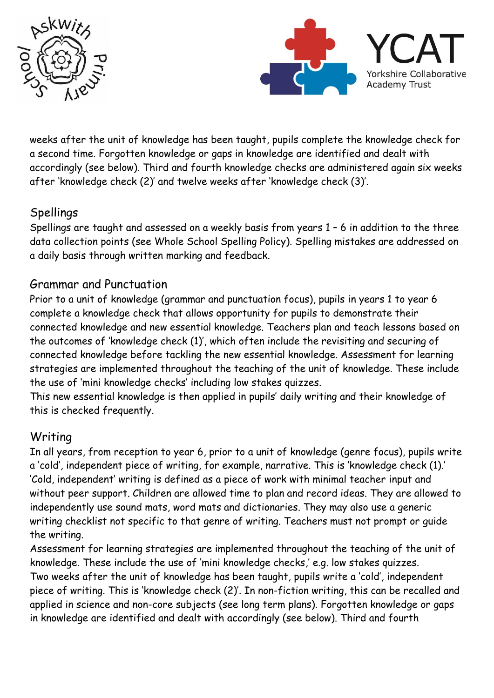



weeks after the unit of knowledge has been taught, pupils complete the knowledge check for a second time. Forgotten knowledge or gaps in knowledge are identified and dealt with accordingly (see below). Third and fourth knowledge checks are administered again six weeks after 'knowledge check (2)' and twelve weeks after 'knowledge check (3)'.

## Spellings

Spellings are taught and assessed on a weekly basis from years 1 – 6 in addition to the three data collection points (see Whole School Spelling Policy). Spelling mistakes are addressed on a daily basis through written marking and feedback.

## Grammar and Punctuation

Prior to a unit of knowledge (grammar and punctuation focus), pupils in years 1 to year 6 complete a knowledge check that allows opportunity for pupils to demonstrate their connected knowledge and new essential knowledge. Teachers plan and teach lessons based on the outcomes of 'knowledge check (1)', which often include the revisiting and securing of connected knowledge before tackling the new essential knowledge. Assessment for learning strategies are implemented throughout the teaching of the unit of knowledge. These include the use of 'mini knowledge checks' including low stakes quizzes.

This new essential knowledge is then applied in pupils' daily writing and their knowledge of this is checked frequently.

# Writing

In all years, from reception to year 6, prior to a unit of knowledge (genre focus), pupils write a 'cold', independent piece of writing, for example, narrative. This is 'knowledge check (1).' 'Cold, independent' writing is defined as a piece of work with minimal teacher input and without peer support. Children are allowed time to plan and record ideas. They are allowed to independently use sound mats, word mats and dictionaries. They may also use a generic writing checklist not specific to that genre of writing. Teachers must not prompt or guide the writing.

Assessment for learning strategies are implemented throughout the teaching of the unit of knowledge. These include the use of 'mini knowledge checks,' e.g. low stakes quizzes. Two weeks after the unit of knowledge has been taught, pupils write a 'cold', independent piece of writing. This is 'knowledge check (2)'. In non-fiction writing, this can be recalled and applied in science and non-core subjects (see long term plans). Forgotten knowledge or gaps in knowledge are identified and dealt with accordingly (see below). Third and fourth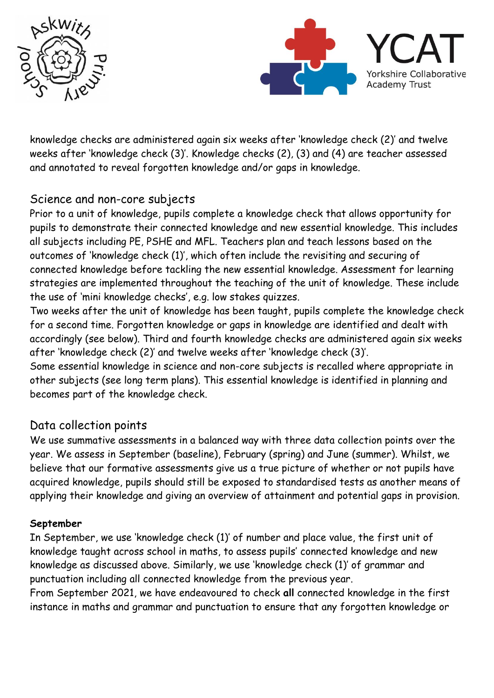



knowledge checks are administered again six weeks after 'knowledge check (2)' and twelve weeks after 'knowledge check (3)'. Knowledge checks (2), (3) and (4) are teacher assessed and annotated to reveal forgotten knowledge and/or gaps in knowledge.

# Science and non-core subjects

Prior to a unit of knowledge, pupils complete a knowledge check that allows opportunity for pupils to demonstrate their connected knowledge and new essential knowledge. This includes all subjects including PE, PSHE and MFL. Teachers plan and teach lessons based on the outcomes of 'knowledge check (1)', which often include the revisiting and securing of connected knowledge before tackling the new essential knowledge. Assessment for learning strategies are implemented throughout the teaching of the unit of knowledge. These include the use of 'mini knowledge checks', e.g. low stakes quizzes.

Two weeks after the unit of knowledge has been taught, pupils complete the knowledge check for a second time. Forgotten knowledge or gaps in knowledge are identified and dealt with accordingly (see below). Third and fourth knowledge checks are administered again six weeks after 'knowledge check (2)' and twelve weeks after 'knowledge check (3)'.

Some essential knowledge in science and non-core subjects is recalled where appropriate in other subjects (see long term plans). This essential knowledge is identified in planning and becomes part of the knowledge check.

# Data collection points

We use summative assessments in a balanced way with three data collection points over the year. We assess in September (baseline), February (spring) and June (summer). Whilst, we believe that our formative assessments give us a true picture of whether or not pupils have acquired knowledge, pupils should still be exposed to standardised tests as another means of applying their knowledge and giving an overview of attainment and potential gaps in provision.

## **September**

In September, we use 'knowledge check (1)' of number and place value, the first unit of knowledge taught across school in maths, to assess pupils' connected knowledge and new knowledge as discussed above. Similarly, we use 'knowledge check (1)' of grammar and punctuation including all connected knowledge from the previous year.

From September 2021, we have endeavoured to check **all** connected knowledge in the first instance in maths and grammar and punctuation to ensure that any forgotten knowledge or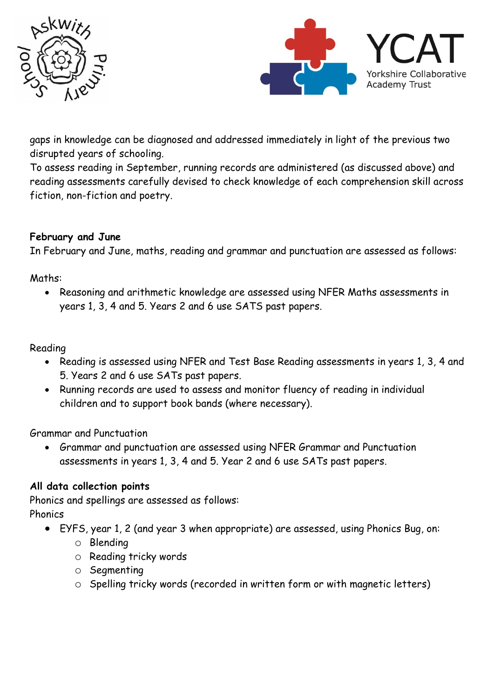



gaps in knowledge can be diagnosed and addressed immediately in light of the previous two disrupted years of schooling.

To assess reading in September, running records are administered (as discussed above) and reading assessments carefully devised to check knowledge of each comprehension skill across fiction, non-fiction and poetry.

#### **February and June**

In February and June, maths, reading and grammar and punctuation are assessed as follows:

#### Maths:

• Reasoning and arithmetic knowledge are assessed using NFER Maths assessments in years 1, 3, 4 and 5. Years 2 and 6 use SATS past papers.

#### Reading

- Reading is assessed using NFER and Test Base Reading assessments in years 1, 3, 4 and 5. Years 2 and 6 use SATs past papers.
- Running records are used to assess and monitor fluency of reading in individual children and to support book bands (where necessary).

Grammar and Punctuation

• Grammar and punctuation are assessed using NFER Grammar and Punctuation assessments in years 1, 3, 4 and 5. Year 2 and 6 use SATs past papers.

#### **All data collection points**

Phonics and spellings are assessed as follows: Phonics

- EYFS, year 1, 2 (and year 3 when appropriate) are assessed, using Phonics Bug, on:
	- o Blending
	- o Reading tricky words
	- o Segmenting
	- o Spelling tricky words (recorded in written form or with magnetic letters)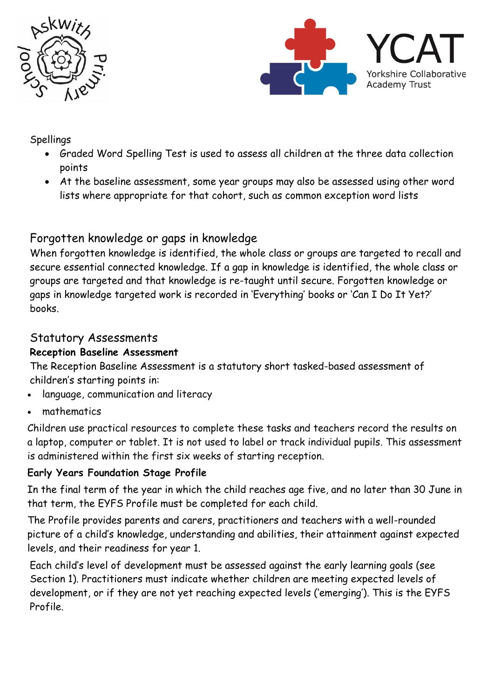



## Spellings

- Graded Word Spelling Test is used to assess all children at the three data collection points
- At the baseline assessment, some year groups may also be assessed using other word lists where appropriate for that cohort, such as common exception word lists

## Forgotten knowledge or gaps in knowledge

When forgotten knowledge is identified, the whole class or groups are targeted to recall and secure essential connected knowledge. If a gap in knowledge is identified, the whole class or groups are targeted and that knowledge is re-taught until secure. Forgotten knowledge or gaps in knowledge targeted work is recorded in 'Everything' books or 'Can I Do It Yet?' books.

## Statutory Assessments

## **Reception Baseline Assessment**

The Reception Baseline Assessment is a statutory short tasked-based assessment of children's starting points in:

- language, communication and literacy
- mathematics

Children use practical resources to complete these tasks and teachers record the results on a laptop, computer or tablet. It is not used to label or track individual pupils. This assessment is administered within the first six weeks of starting reception.

## **Early Years Foundation Stage Profile**

In the final term of the year in which the child reaches age five, and no later than 30 June in that term, the EYFS Profile must be completed for each child.

The Profile provides parents and carers, practitioners and teachers with a well-rounded picture of a child's knowledge, understanding and abilities, their attainment against expected levels, and their readiness for year 1.

Each child's level of development must be assessed against the early learning goals (see Section 1). Practitioners must indicate whether children are meeting expected levels of development, or if they are not yet reaching expected levels ('emerging'). This is the EYFS Profile.